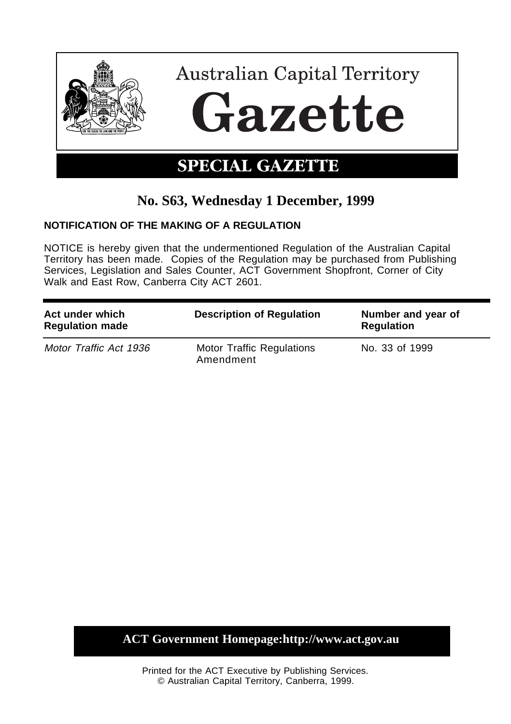

# **No. S63, Wednesday 1 December, 1999**

### **NOTIFICATION OF THE MAKING OF A REGULATION**

NOTICE is hereby given that the undermentioned Regulation of the Australian Capital Territory has been made. Copies of the Regulation may be purchased from Publishing Services, Legislation and Sales Counter, ACT Government Shopfront, Corner of City Walk and East Row, Canberra City ACT 2601.

| Act under which<br><b>Regulation made</b> | <b>Description of Regulation</b>              | Number and year of<br><b>Regulation</b> |
|-------------------------------------------|-----------------------------------------------|-----------------------------------------|
| Motor Traffic Act 1936                    | <b>Motor Traffic Regulations</b><br>Amendment | No. 33 of 1999                          |

## **ACT Government Homepage:http://www.act.gov.au**

Printed for the ACT Executive by Publishing Services. © Australian Capital Territory, Canberra, 1999.